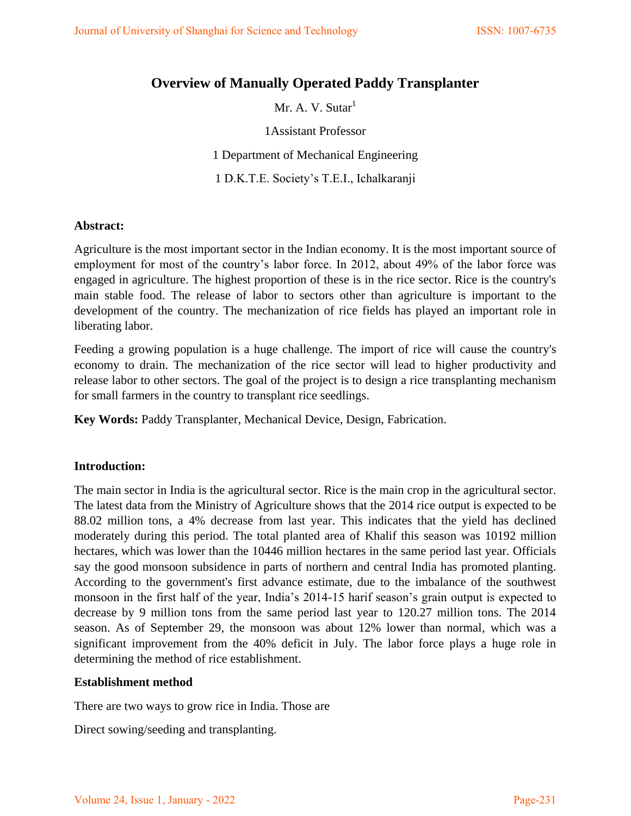# **Overview of Manually Operated Paddy Transplanter**

Mr. A. V. Sutar $<sup>1</sup>$ </sup>

1Assistant Professor

1 Department of Mechanical Engineering

1 D.K.T.E. Society's T.E.I., Ichalkaranji

#### **Abstract:**

Agriculture is the most important sector in the Indian economy. It is the most important source of employment for most of the country's labor force. In 2012, about 49% of the labor force was engaged in agriculture. The highest proportion of these is in the rice sector. Rice is the country's main stable food. The release of labor to sectors other than agriculture is important to the development of the country. The mechanization of rice fields has played an important role in liberating labor.

Feeding a growing population is a huge challenge. The import of rice will cause the country's economy to drain. The mechanization of the rice sector will lead to higher productivity and release labor to other sectors. The goal of the project is to design a rice transplanting mechanism for small farmers in the country to transplant rice seedlings.

**Key Words:** Paddy Transplanter, Mechanical Device, Design, Fabrication.

#### **Introduction:**

The main sector in India is the agricultural sector. Rice is the main crop in the agricultural sector. The latest data from the Ministry of Agriculture shows that the 2014 rice output is expected to be 88.02 million tons, a 4% decrease from last year. This indicates that the yield has declined moderately during this period. The total planted area of Khalif this season was 10192 million hectares, which was lower than the 10446 million hectares in the same period last year. Officials say the good monsoon subsidence in parts of northern and central India has promoted planting. According to the government's first advance estimate, due to the imbalance of the southwest monsoon in the first half of the year, India's 2014-15 harif season's grain output is expected to decrease by 9 million tons from the same period last year to 120.27 million tons. The 2014 season. As of September 29, the monsoon was about 12% lower than normal, which was a significant improvement from the 40% deficit in July. The labor force plays a huge role in determining the method of rice establishment.

# **Establishment method**

There are two ways to grow rice in India. Those are

Direct sowing/seeding and transplanting.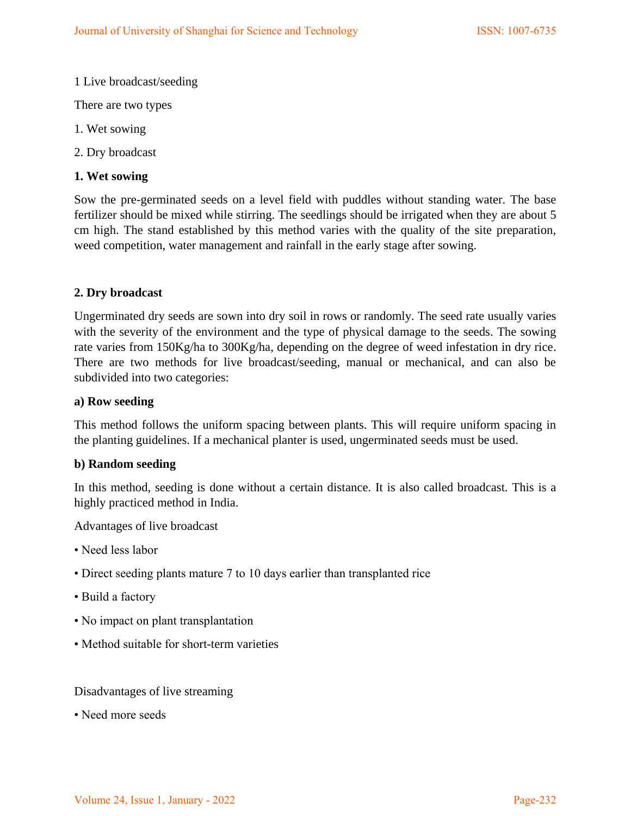## 1 Live broadcast/seeding

There are two types

- 1. Wet sowing
- 2. Dry broadcast

## **1. Wet sowing**

Sow the pre-germinated seeds on a level field with puddles without standing water. The base fertilizer should be mixed while stirring. The seedlings should be irrigated when they are about 5 cm high. The stand established by this method varies with the quality of the site preparation, weed competition, water management and rainfall in the early stage after sowing.

## **2. Dry broadcast**

Ungerminated dry seeds are sown into dry soil in rows or randomly. The seed rate usually varies with the severity of the environment and the type of physical damage to the seeds. The sowing rate varies from 150Kg/ha to 300Kg/ha, depending on the degree of weed infestation in dry rice. There are two methods for live broadcast/seeding, manual or mechanical, and can also be subdivided into two categories:

#### **a) Row seeding**

This method follows the uniform spacing between plants. This will require uniform spacing in the planting guidelines. If a mechanical planter is used, ungerminated seeds must be used.

#### **b) Random seeding**

In this method, seeding is done without a certain distance. It is also called broadcast. This is a highly practiced method in India.

Advantages of live broadcast

- Need less labor
- Direct seeding plants mature 7 to 10 days earlier than transplanted rice
- Build a factory
- No impact on plant transplantation
- Method suitable for short-term varieties

#### Disadvantages of live streaming

• Need more seeds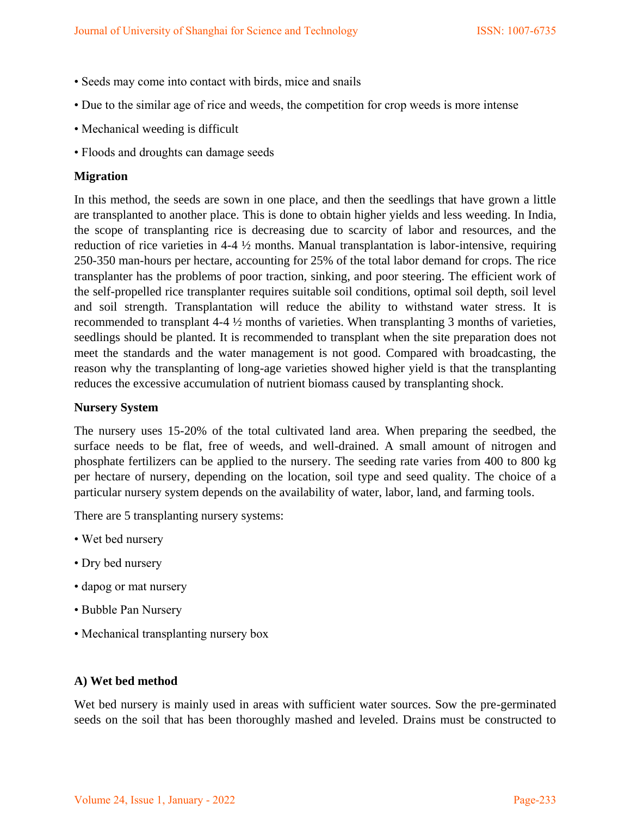- Seeds may come into contact with birds, mice and snails
- Due to the similar age of rice and weeds, the competition for crop weeds is more intense
- Mechanical weeding is difficult
- Floods and droughts can damage seeds

## **Migration**

In this method, the seeds are sown in one place, and then the seedlings that have grown a little are transplanted to another place. This is done to obtain higher yields and less weeding. In India, the scope of transplanting rice is decreasing due to scarcity of labor and resources, and the reduction of rice varieties in 4-4 ½ months. Manual transplantation is labor-intensive, requiring 250-350 man-hours per hectare, accounting for 25% of the total labor demand for crops. The rice transplanter has the problems of poor traction, sinking, and poor steering. The efficient work of the self-propelled rice transplanter requires suitable soil conditions, optimal soil depth, soil level and soil strength. Transplantation will reduce the ability to withstand water stress. It is recommended to transplant 4-4 ½ months of varieties. When transplanting 3 months of varieties, seedlings should be planted. It is recommended to transplant when the site preparation does not meet the standards and the water management is not good. Compared with broadcasting, the reason why the transplanting of long-age varieties showed higher yield is that the transplanting reduces the excessive accumulation of nutrient biomass caused by transplanting shock.

#### **Nursery System**

The nursery uses 15-20% of the total cultivated land area. When preparing the seedbed, the surface needs to be flat, free of weeds, and well-drained. A small amount of nitrogen and phosphate fertilizers can be applied to the nursery. The seeding rate varies from 400 to 800 kg per hectare of nursery, depending on the location, soil type and seed quality. The choice of a particular nursery system depends on the availability of water, labor, land, and farming tools.

There are 5 transplanting nursery systems:

- Wet bed nursery
- Dry bed nursery
- dapog or mat nursery
- Bubble Pan Nursery
- Mechanical transplanting nursery box

#### **A) Wet bed method**

Wet bed nursery is mainly used in areas with sufficient water sources. Sow the pre-germinated seeds on the soil that has been thoroughly mashed and leveled. Drains must be constructed to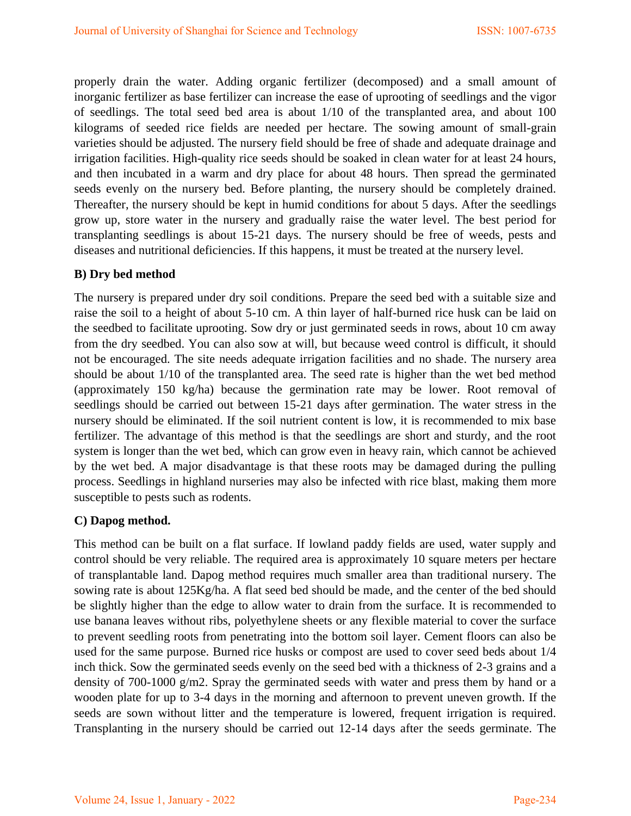properly drain the water. Adding organic fertilizer (decomposed) and a small amount of inorganic fertilizer as base fertilizer can increase the ease of uprooting of seedlings and the vigor of seedlings. The total seed bed area is about 1/10 of the transplanted area, and about 100 kilograms of seeded rice fields are needed per hectare. The sowing amount of small-grain varieties should be adjusted. The nursery field should be free of shade and adequate drainage and irrigation facilities. High-quality rice seeds should be soaked in clean water for at least 24 hours, and then incubated in a warm and dry place for about 48 hours. Then spread the germinated seeds evenly on the nursery bed. Before planting, the nursery should be completely drained. Thereafter, the nursery should be kept in humid conditions for about 5 days. After the seedlings grow up, store water in the nursery and gradually raise the water level. The best period for transplanting seedlings is about 15-21 days. The nursery should be free of weeds, pests and diseases and nutritional deficiencies. If this happens, it must be treated at the nursery level.

#### **B) Dry bed method**

The nursery is prepared under dry soil conditions. Prepare the seed bed with a suitable size and raise the soil to a height of about 5-10 cm. A thin layer of half-burned rice husk can be laid on the seedbed to facilitate uprooting. Sow dry or just germinated seeds in rows, about 10 cm away from the dry seedbed. You can also sow at will, but because weed control is difficult, it should not be encouraged. The site needs adequate irrigation facilities and no shade. The nursery area should be about 1/10 of the transplanted area. The seed rate is higher than the wet bed method (approximately 150 kg/ha) because the germination rate may be lower. Root removal of seedlings should be carried out between 15-21 days after germination. The water stress in the nursery should be eliminated. If the soil nutrient content is low, it is recommended to mix base fertilizer. The advantage of this method is that the seedlings are short and sturdy, and the root system is longer than the wet bed, which can grow even in heavy rain, which cannot be achieved by the wet bed. A major disadvantage is that these roots may be damaged during the pulling process. Seedlings in highland nurseries may also be infected with rice blast, making them more susceptible to pests such as rodents.

#### **C) Dapog method.**

This method can be built on a flat surface. If lowland paddy fields are used, water supply and control should be very reliable. The required area is approximately 10 square meters per hectare of transplantable land. Dapog method requires much smaller area than traditional nursery. The sowing rate is about 125Kg/ha. A flat seed bed should be made, and the center of the bed should be slightly higher than the edge to allow water to drain from the surface. It is recommended to use banana leaves without ribs, polyethylene sheets or any flexible material to cover the surface to prevent seedling roots from penetrating into the bottom soil layer. Cement floors can also be used for the same purpose. Burned rice husks or compost are used to cover seed beds about 1/4 inch thick. Sow the germinated seeds evenly on the seed bed with a thickness of 2-3 grains and a density of 700-1000 g/m2. Spray the germinated seeds with water and press them by hand or a wooden plate for up to 3-4 days in the morning and afternoon to prevent uneven growth. If the seeds are sown without litter and the temperature is lowered, frequent irrigation is required. Transplanting in the nursery should be carried out 12-14 days after the seeds germinate. The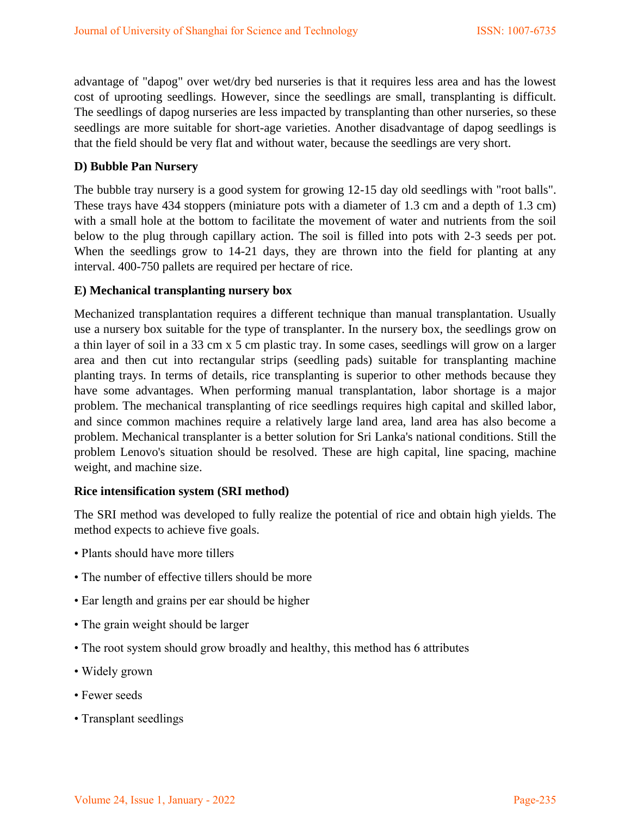advantage of "dapog" over wet/dry bed nurseries is that it requires less area and has the lowest cost of uprooting seedlings. However, since the seedlings are small, transplanting is difficult. The seedlings of dapog nurseries are less impacted by transplanting than other nurseries, so these seedlings are more suitable for short-age varieties. Another disadvantage of dapog seedlings is that the field should be very flat and without water, because the seedlings are very short.

#### **D) Bubble Pan Nursery**

The bubble tray nursery is a good system for growing 12-15 day old seedlings with "root balls". These trays have 434 stoppers (miniature pots with a diameter of 1.3 cm and a depth of 1.3 cm) with a small hole at the bottom to facilitate the movement of water and nutrients from the soil below to the plug through capillary action. The soil is filled into pots with 2-3 seeds per pot. When the seedlings grow to 14-21 days, they are thrown into the field for planting at any interval. 400-750 pallets are required per hectare of rice.

#### **E) Mechanical transplanting nursery box**

Mechanized transplantation requires a different technique than manual transplantation. Usually use a nursery box suitable for the type of transplanter. In the nursery box, the seedlings grow on a thin layer of soil in a 33 cm x 5 cm plastic tray. In some cases, seedlings will grow on a larger area and then cut into rectangular strips (seedling pads) suitable for transplanting machine planting trays. In terms of details, rice transplanting is superior to other methods because they have some advantages. When performing manual transplantation, labor shortage is a major problem. The mechanical transplanting of rice seedlings requires high capital and skilled labor, and since common machines require a relatively large land area, land area has also become a problem. Mechanical transplanter is a better solution for Sri Lanka's national conditions. Still the problem Lenovo's situation should be resolved. These are high capital, line spacing, machine weight, and machine size.

#### **Rice intensification system (SRI method)**

The SRI method was developed to fully realize the potential of rice and obtain high yields. The method expects to achieve five goals.

- Plants should have more tillers
- The number of effective tillers should be more
- Ear length and grains per ear should be higher
- The grain weight should be larger
- The root system should grow broadly and healthy, this method has 6 attributes
- Widely grown
- Fewer seeds
- Transplant seedlings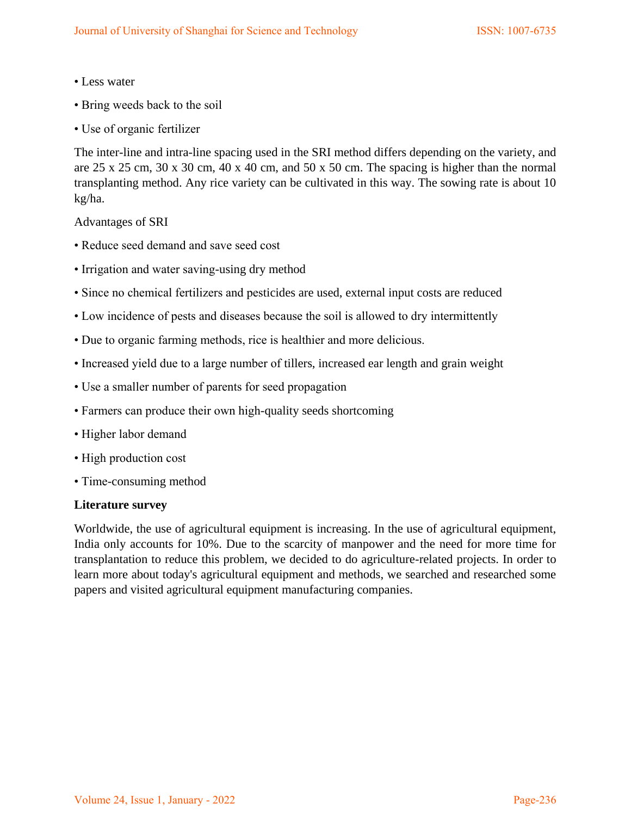- Less water
- Bring weeds back to the soil
- Use of organic fertilizer

The inter-line and intra-line spacing used in the SRI method differs depending on the variety, and are 25 x 25 cm, 30 x 30 cm, 40 x 40 cm, and 50 x 50 cm. The spacing is higher than the normal transplanting method. Any rice variety can be cultivated in this way. The sowing rate is about 10 kg/ha.

Advantages of SRI

- Reduce seed demand and save seed cost
- Irrigation and water saving-using dry method
- Since no chemical fertilizers and pesticides are used, external input costs are reduced
- Low incidence of pests and diseases because the soil is allowed to dry intermittently
- Due to organic farming methods, rice is healthier and more delicious.
- Increased yield due to a large number of tillers, increased ear length and grain weight
- Use a smaller number of parents for seed propagation
- Farmers can produce their own high-quality seeds shortcoming
- Higher labor demand
- High production cost
- Time-consuming method

#### **Literature survey**

Worldwide, the use of agricultural equipment is increasing. In the use of agricultural equipment, India only accounts for 10%. Due to the scarcity of manpower and the need for more time for transplantation to reduce this problem, we decided to do agriculture-related projects. In order to learn more about today's agricultural equipment and methods, we searched and researched some papers and visited agricultural equipment manufacturing companies.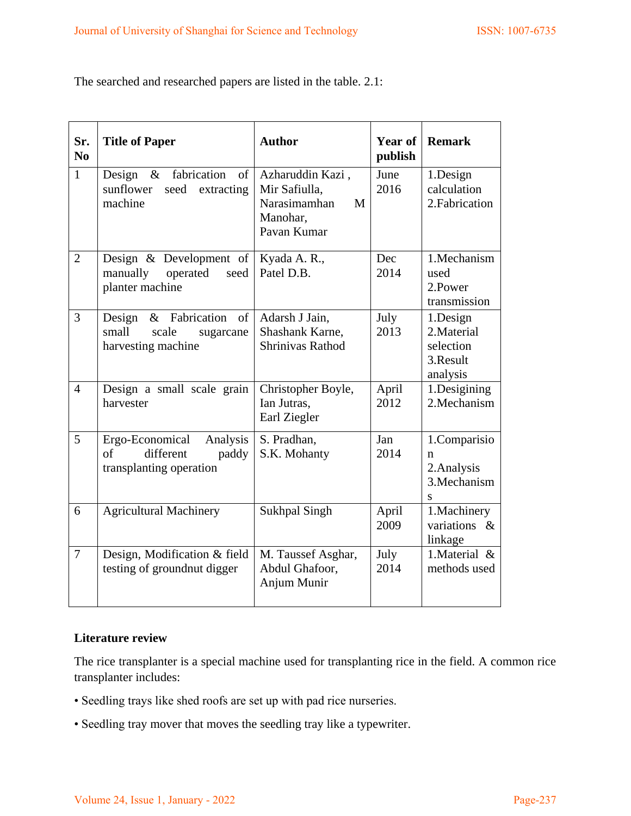The searched and researched papers are listed in the table. 2.1:

| Sr.<br>N <sub>0</sub> | <b>Title of Paper</b>                                                                         | <b>Author</b>                                                                     | Year of<br>publish | <b>Remark</b>                                                |
|-----------------------|-----------------------------------------------------------------------------------------------|-----------------------------------------------------------------------------------|--------------------|--------------------------------------------------------------|
| $\mathbf{1}$          | fabrication<br>Design<br>$\&$<br>of<br>seed<br>sunflower<br>extracting<br>machine             | Azharuddin Kazi,<br>Mir Safiulla,<br>Narasimamhan<br>M<br>Manohar,<br>Pavan Kumar | June<br>2016       | 1.Design<br>calculation<br>2. Fabrication                    |
| $\overline{2}$        | Design & Development of<br>operated<br>manually<br>seed<br>planter machine                    | Kyada A. R.,<br>Patel D.B.                                                        | <b>Dec</b><br>2014 | 1.Mechanism<br>used<br>2.Power<br>transmission               |
| $\overline{3}$        | & Fabrication<br><sub>of</sub><br>Design<br>small<br>scale<br>sugarcane<br>harvesting machine | Adarsh J Jain,<br>Shashank Karne,<br>Shrinivas Rathod                             | July<br>2013       | 1.Design<br>2. Material<br>selection<br>3.Result<br>analysis |
| $\overline{4}$        | Design a small scale grain<br>harvester                                                       | Christopher Boyle,<br>Ian Jutras,<br>Earl Ziegler                                 | April<br>2012      | 1.Desigining<br>2. Mechanism                                 |
| 5                     | Ergo-Economical<br>Analysis<br>different<br>of<br>paddy<br>transplanting operation            | S. Pradhan,<br>S.K. Mohanty                                                       | Jan<br>2014        | 1.Comparisio<br>n<br>2. Analysis<br>3. Mechanism<br>S        |
| 6                     | <b>Agricultural Machinery</b>                                                                 | <b>Sukhpal Singh</b>                                                              | April<br>2009      | 1.Machinery<br>variations &<br>linkage                       |
| $\overline{7}$        | Design, Modification & field<br>testing of groundnut digger                                   | M. Taussef Asghar,<br>Abdul Ghafoor,<br>Anjum Munir                               | July<br>2014       | 1. Material &<br>methods used                                |

#### **Literature review**

The rice transplanter is a special machine used for transplanting rice in the field. A common rice transplanter includes:

- Seedling trays like shed roofs are set up with pad rice nurseries.
- Seedling tray mover that moves the seedling tray like a typewriter.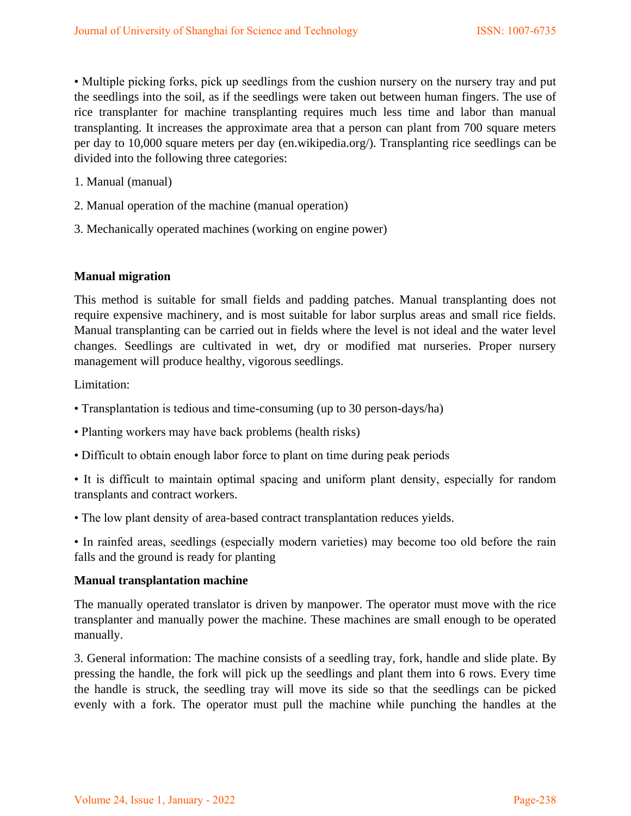• Multiple picking forks, pick up seedlings from the cushion nursery on the nursery tray and put the seedlings into the soil, as if the seedlings were taken out between human fingers. The use of rice transplanter for machine transplanting requires much less time and labor than manual transplanting. It increases the approximate area that a person can plant from 700 square meters per day to 10,000 square meters per day (en.wikipedia.org/). Transplanting rice seedlings can be divided into the following three categories:

- 1. Manual (manual)
- 2. Manual operation of the machine (manual operation)
- 3. Mechanically operated machines (working on engine power)

## **Manual migration**

This method is suitable for small fields and padding patches. Manual transplanting does not require expensive machinery, and is most suitable for labor surplus areas and small rice fields. Manual transplanting can be carried out in fields where the level is not ideal and the water level changes. Seedlings are cultivated in wet, dry or modified mat nurseries. Proper nursery management will produce healthy, vigorous seedlings.

Limitation:

- Transplantation is tedious and time-consuming (up to 30 person-days/ha)
- Planting workers may have back problems (health risks)
- Difficult to obtain enough labor force to plant on time during peak periods
- It is difficult to maintain optimal spacing and uniform plant density, especially for random transplants and contract workers.
- The low plant density of area-based contract transplantation reduces yields.

• In rainfed areas, seedlings (especially modern varieties) may become too old before the rain falls and the ground is ready for planting

#### **Manual transplantation machine**

The manually operated translator is driven by manpower. The operator must move with the rice transplanter and manually power the machine. These machines are small enough to be operated manually.

3. General information: The machine consists of a seedling tray, fork, handle and slide plate. By pressing the handle, the fork will pick up the seedlings and plant them into 6 rows. Every time the handle is struck, the seedling tray will move its side so that the seedlings can be picked evenly with a fork. The operator must pull the machine while punching the handles at the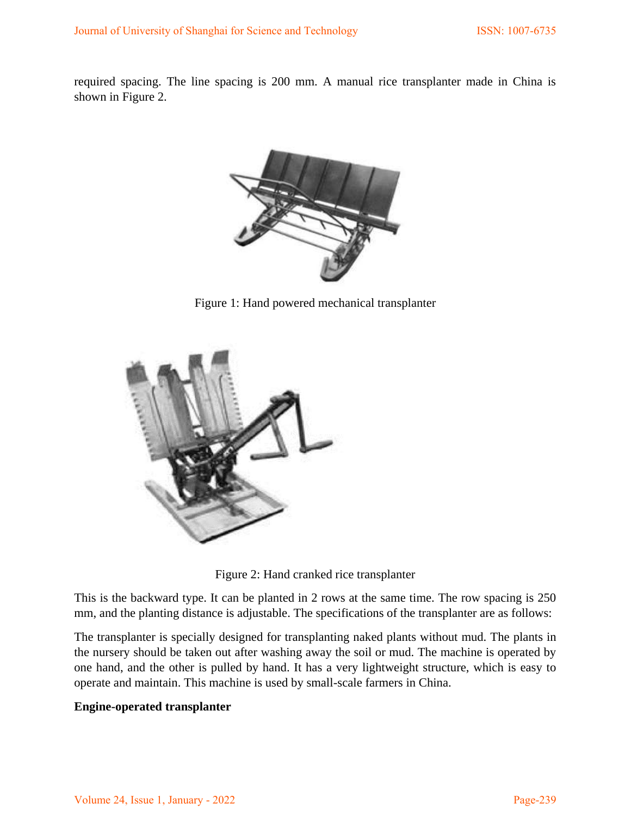required spacing. The line spacing is 200 mm. A manual rice transplanter made in China is shown in Figure 2.



Figure 1: Hand powered mechanical transplanter



Figure 2: Hand cranked rice transplanter

This is the backward type. It can be planted in 2 rows at the same time. The row spacing is 250 mm, and the planting distance is adjustable. The specifications of the transplanter are as follows:

The transplanter is specially designed for transplanting naked plants without mud. The plants in the nursery should be taken out after washing away the soil or mud. The machine is operated by one hand, and the other is pulled by hand. It has a very lightweight structure, which is easy to operate and maintain. This machine is used by small-scale farmers in China.

# **Engine-operated transplanter**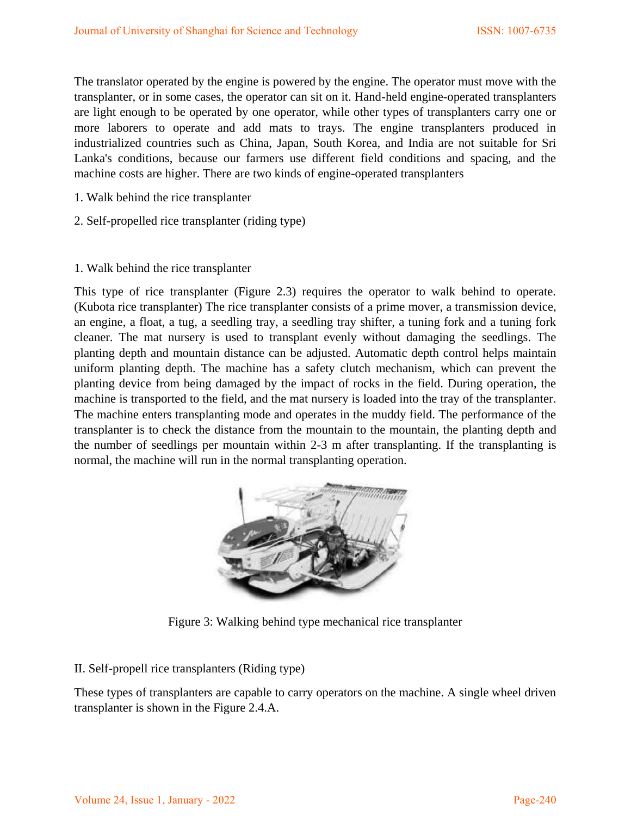The translator operated by the engine is powered by the engine. The operator must move with the transplanter, or in some cases, the operator can sit on it. Hand-held engine-operated transplanters are light enough to be operated by one operator, while other types of transplanters carry one or more laborers to operate and add mats to trays. The engine transplanters produced in industrialized countries such as China, Japan, South Korea, and India are not suitable for Sri Lanka's conditions, because our farmers use different field conditions and spacing, and the machine costs are higher. There are two kinds of engine-operated transplanters

- 1. Walk behind the rice transplanter
- 2. Self-propelled rice transplanter (riding type)
- 1. Walk behind the rice transplanter

This type of rice transplanter (Figure 2.3) requires the operator to walk behind to operate. (Kubota rice transplanter) The rice transplanter consists of a prime mover, a transmission device, an engine, a float, a tug, a seedling tray, a seedling tray shifter, a tuning fork and a tuning fork cleaner. The mat nursery is used to transplant evenly without damaging the seedlings. The planting depth and mountain distance can be adjusted. Automatic depth control helps maintain uniform planting depth. The machine has a safety clutch mechanism, which can prevent the planting device from being damaged by the impact of rocks in the field. During operation, the machine is transported to the field, and the mat nursery is loaded into the tray of the transplanter. The machine enters transplanting mode and operates in the muddy field. The performance of the transplanter is to check the distance from the mountain to the mountain, the planting depth and the number of seedlings per mountain within 2-3 m after transplanting. If the transplanting is normal, the machine will run in the normal transplanting operation.



Figure 3: Walking behind type mechanical rice transplanter

#### II. Self-propell rice transplanters (Riding type)

These types of transplanters are capable to carry operators on the machine. A single wheel driven transplanter is shown in the Figure 2.4.A.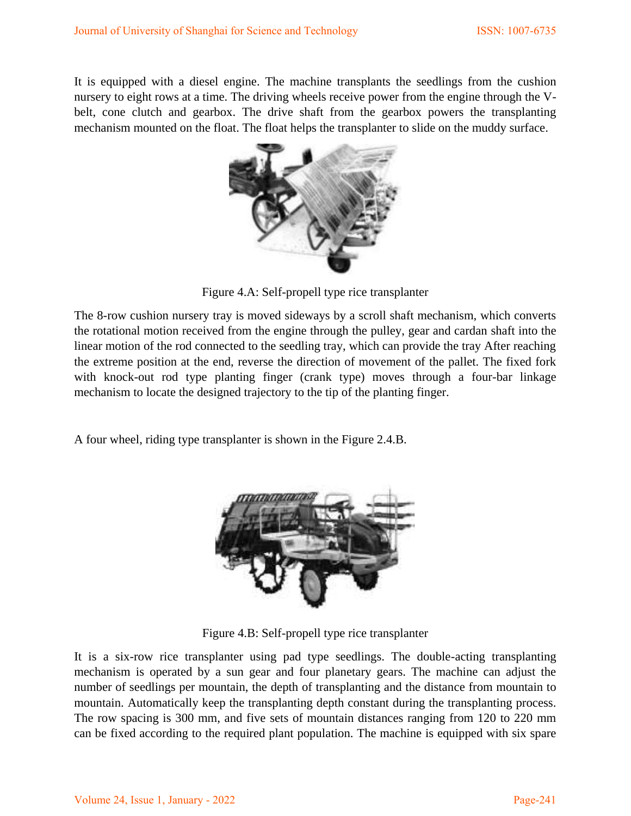It is equipped with a diesel engine. The machine transplants the seedlings from the cushion nursery to eight rows at a time. The driving wheels receive power from the engine through the Vbelt, cone clutch and gearbox. The drive shaft from the gearbox powers the transplanting mechanism mounted on the float. The float helps the transplanter to slide on the muddy surface.



Figure 4.A: Self-propell type rice transplanter

The 8-row cushion nursery tray is moved sideways by a scroll shaft mechanism, which converts the rotational motion received from the engine through the pulley, gear and cardan shaft into the linear motion of the rod connected to the seedling tray, which can provide the tray After reaching the extreme position at the end, reverse the direction of movement of the pallet. The fixed fork with knock-out rod type planting finger (crank type) moves through a four-bar linkage mechanism to locate the designed trajectory to the tip of the planting finger.

A four wheel, riding type transplanter is shown in the Figure 2.4.B.



Figure 4.B: Self-propell type rice transplanter

It is a six-row rice transplanter using pad type seedlings. The double-acting transplanting mechanism is operated by a sun gear and four planetary gears. The machine can adjust the number of seedlings per mountain, the depth of transplanting and the distance from mountain to mountain. Automatically keep the transplanting depth constant during the transplanting process. The row spacing is 300 mm, and five sets of mountain distances ranging from 120 to 220 mm can be fixed according to the required plant population. The machine is equipped with six spare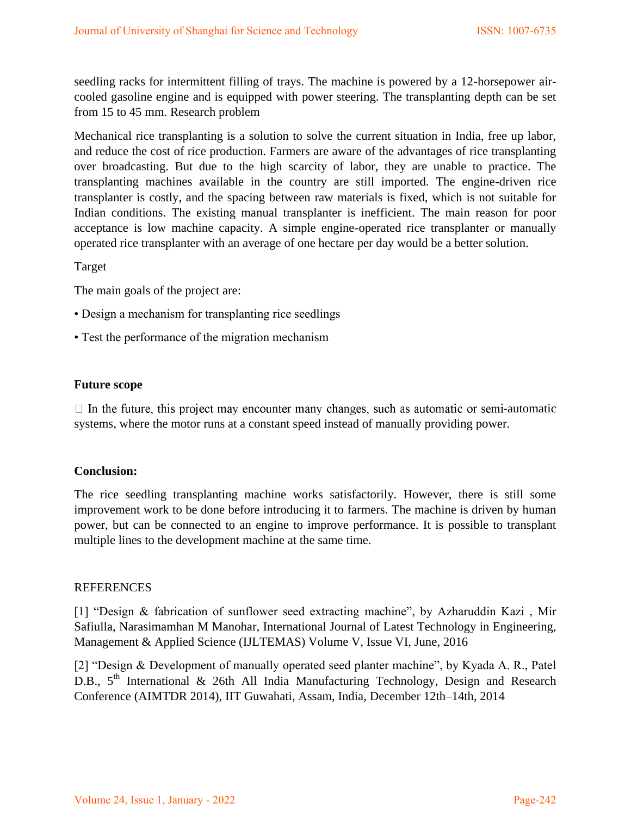seedling racks for intermittent filling of trays. The machine is powered by a 12-horsepower aircooled gasoline engine and is equipped with power steering. The transplanting depth can be set from 15 to 45 mm. Research problem

Mechanical rice transplanting is a solution to solve the current situation in India, free up labor, and reduce the cost of rice production. Farmers are aware of the advantages of rice transplanting over broadcasting. But due to the high scarcity of labor, they are unable to practice. The transplanting machines available in the country are still imported. The engine-driven rice transplanter is costly, and the spacing between raw materials is fixed, which is not suitable for Indian conditions. The existing manual transplanter is inefficient. The main reason for poor acceptance is low machine capacity. A simple engine-operated rice transplanter or manually operated rice transplanter with an average of one hectare per day would be a better solution.

Target

The main goals of the project are:

- Design a mechanism for transplanting rice seedlings
- Test the performance of the migration mechanism

## **Future scope**

 $\Box$  In the future, this project may encounter many changes, such as automatic or semi-automatic systems, where the motor runs at a constant speed instead of manually providing power.

# **Conclusion:**

The rice seedling transplanting machine works satisfactorily. However, there is still some improvement work to be done before introducing it to farmers. The machine is driven by human power, but can be connected to an engine to improve performance. It is possible to transplant multiple lines to the development machine at the same time.

#### REFERENCES

[1] "Design & fabrication of sunflower seed extracting machine", by Azharuddin Kazi , Mir Safiulla, Narasimamhan M Manohar, International Journal of Latest Technology in Engineering, Management & Applied Science (IJLTEMAS) Volume V, Issue VI, June, 2016

[2] "Design & Development of manually operated seed planter machine", by Kyada A. R., Patel D.B.,  $5^{\text{th}}$  International & 26th All India Manufacturing Technology, Design and Research Conference (AIMTDR 2014), IIT Guwahati, Assam, India, December 12th–14th, 2014